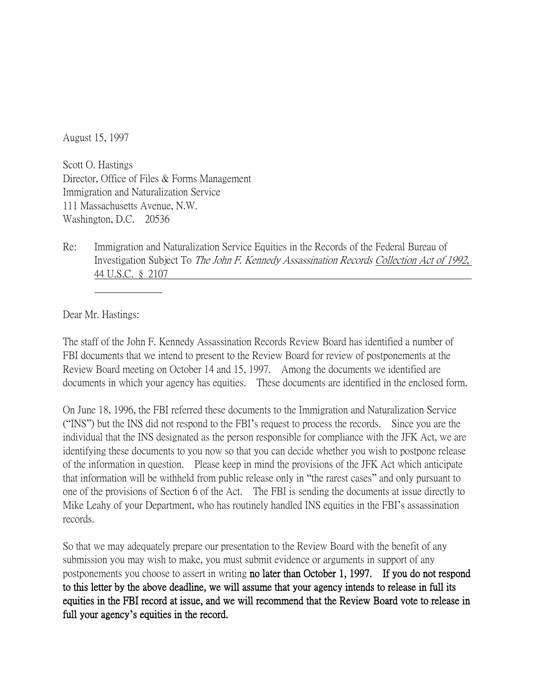August 15, 1997

Scott O. Hastings Director, Office of Files & Forms Management Immigration and Naturalization Service 111 Massachusetts Avenue, N.W. Washington, D.C. 20536

Re: Immigration and Naturalization Service Equities in the Records of the Federal Bureau of Investigation Subject To The John F. Kennedy Assassination Records Collection Act of 1992, 44 U.S.C. § 2107

Dear Mr. Hastings:

The staff of the John F. Kennedy Assassination Records Review Board has identified a number of FBI documents that we intend to present to the Review Board for review of postponements at the Review Board meeting on October 14 and 15, 1997. Among the documents we identified are documents in which your agency has equities. These documents are identified in the enclosed form.

On June 18, 1996, the FBI referred these documents to the Immigration and Naturalization Service ("INS") but the INS did not respond to the FBI's request to process the records. Since you are the individual that the INS designated as the person responsible for compliance with the JFK Act, we are identifying these documents to you now so that you can decide whether you wish to postpone release of the information in question. Please keep in mind the provisions of the JFK Act which anticipate that information will be withheld from public release only in "the rarest cases" and only pursuant to one of the provisions of Section 6 of the Act. The FBI is sending the documents at issue directly to Mike Leahy of your Department, who has routinely handled INS equities in the FBI's assassination records.

So that we may adequately prepare our presentation to the Review Board with the benefit of any submission you may wish to make, you must submit evidence or arguments in support of any postponements you choose to assert in writing no later than October 1, 1997. If you do not respond to this letter by the above deadline, we will assume that your agency intends to release in full its equities in the FBI record at issue, and we will recommend that the Review Board vote to release in full your agency**'**s equities in the record.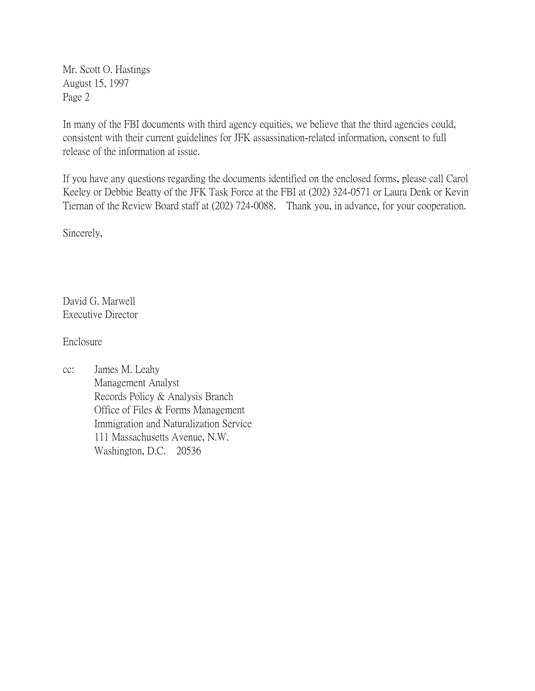Mr. Scott O. Hastings August 15, 1997 Page 2

In many of the FBI documents with third agency equities, we believe that the third agencies could, consistent with their current guidelines for JFK assassination-related information, consent to full release of the information at issue.

If you have any questions regarding the documents identified on the enclosed forms, please call Carol Keeley or Debbie Beatty of the JFK Task Force at the FBI at (202) 324-0571 or Laura Denk or Kevin Tiernan of the Review Board staff at (202) 724-0088. Thank you, in advance, for your cooperation.

Sincerely,

David G. Marwell Executive Director

Enclosure

cc: James M. Leahy Management Analyst Records Policy & Analysis Branch Office of Files & Forms Management Immigration and Naturalization Service 111 Massachusetts Avenue, N.W. Washington, D.C. 20536